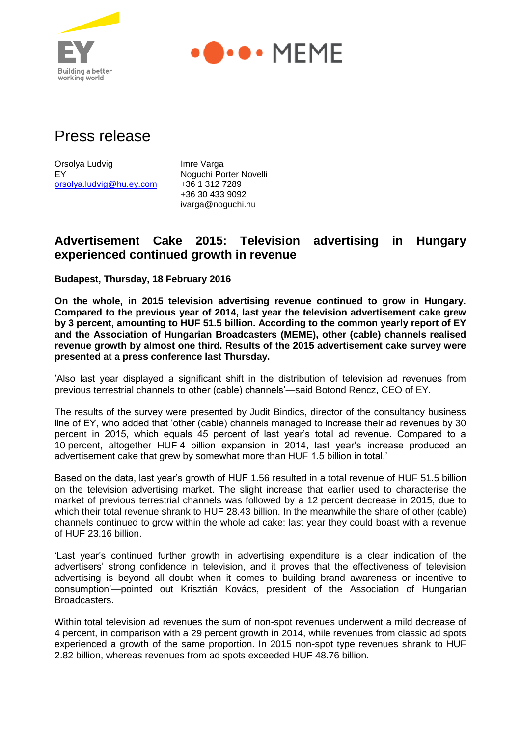



# Press release

Orsolya Ludvig **Imre Varga** EY Noguchi Porter Novelli [orsolya.ludvig@hu.ey.com](mailto:orsolya.ludvig@hu.ey.com) +36 1 312 7289

+36 30 433 9092 ivarga@noguchi.hu

# **Advertisement Cake 2015: Television advertising in Hungary experienced continued growth in revenue**

**Budapest, Thursday, 18 February 2016**

**On the whole, in 2015 television advertising revenue continued to grow in Hungary. Compared to the previous year of 2014, last year the television advertisement cake grew by 3 percent, amounting to HUF 51.5 billion. According to the common yearly report of EY and the Association of Hungarian Broadcasters (MEME), other (cable) channels realised revenue growth by almost one third. Results of the 2015 advertisement cake survey were presented at a press conference last Thursday.**

'Also last year displayed a significant shift in the distribution of television ad revenues from previous terrestrial channels to other (cable) channels'—said Botond Rencz, CEO of EY.

The results of the survey were presented by Judit Bindics, director of the consultancy business line of EY, who added that 'other (cable) channels managed to increase their ad revenues by 30 percent in 2015, which equals 45 percent of last year's total ad revenue. Compared to a 10 percent, altogether HUF 4 billion expansion in 2014, last year's increase produced an advertisement cake that grew by somewhat more than HUF 1.5 billion in total.'

Based on the data, last year's growth of HUF 1.56 resulted in a total revenue of HUF 51.5 billion on the television advertising market. The slight increase that earlier used to characterise the market of previous terrestrial channels was followed by a 12 percent decrease in 2015, due to which their total revenue shrank to HUF 28.43 billion. In the meanwhile the share of other (cable) channels continued to grow within the whole ad cake: last year they could boast with a revenue of HUF 23.16 billion.

'Last year's continued further growth in advertising expenditure is a clear indication of the advertisers' strong confidence in television, and it proves that the effectiveness of television advertising is beyond all doubt when it comes to building brand awareness or incentive to consumption'—pointed out Krisztián Kovács, president of the Association of Hungarian Broadcasters.

Within total television ad revenues the sum of non-spot revenues underwent a mild decrease of 4 percent, in comparison with a 29 percent growth in 2014, while revenues from classic ad spots experienced a growth of the same proportion. In 2015 non-spot type revenues shrank to HUF 2.82 billion, whereas revenues from ad spots exceeded HUF 48.76 billion.